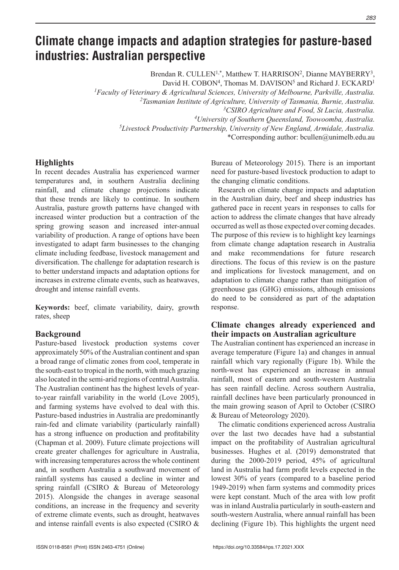# **Climate change impacts and adaption strategies for pasture-based industries: Australian perspective**

Brendan R. CULLEN<sup>1,\*</sup>, Matthew T. HARRISON<sup>2</sup>, Dianne MAYBERRY<sup>3</sup>,

David H. COBON<sup>4</sup>, Thomas M. DAVISON<sup>5</sup> and Richard J. ECKARD<sup>1</sup>

*1Faculty of Veterinary & Agricultural Sciences, University of Melbourne, Parkville, Australia.*

*2Tasmanian Institute of Agriculture, University of Tasmania, Burnie, Australia.*

*3CSIRO Agriculture and Food, St Lucia, Australia.*

*4University of Southern Queensland, Toowoomba, Australia.*

*5Livestock Productivity Partnership, University of New England, Armidale, Australia.*

\*Corresponding author: bcullen@unimelb.edu.au

# **Highlights**

In recent decades Australia has experienced warmer temperatures and, in southern Australia declining rainfall, and climate change projections indicate that these trends are likely to continue. In southern Australia, pasture growth patterns have changed with increased winter production but a contraction of the spring growing season and increased inter-annual variability of production. A range of options have been investigated to adapt farm businesses to the changing climate including feedbase, livestock management and diversification. The challenge for adaptation research is to better understand impacts and adaptation options for increases in extreme climate events, such as heatwaves, drought and intense rainfall events.

**Keywords:** beef, climate variability, dairy, growth rates, sheep

#### **Background**

Pasture-based livestock production systems cover approximately 50% of the Australian continent and span a broad range of climatic zones from cool, temperate in the south-east to tropical in the north, with much grazing also located in the semi-arid regions of central Australia. The Australian continent has the highest levels of yearto-year rainfall variability in the world (Love 2005), and farming systems have evolved to deal with this. Pasture-based industries in Australia are predominantly rain-fed and climate variability (particularly rainfall) has a strong influence on production and profitability (Chapman et al. 2009). Future climate projections will create greater challenges for agriculture in Australia, with increasing temperatures across the whole continent and, in southern Australia a southward movement of rainfall systems has caused a decline in winter and spring rainfall (CSIRO & Bureau of Meteorology 2015). Alongside the changes in average seasonal conditions, an increase in the frequency and severity of extreme climate events, such as drought, heatwaves and intense rainfall events is also expected (CSIRO &

Bureau of Meteorology 2015). There is an important need for pasture-based livestock production to adapt to the changing climatic conditions.

Research on climate change impacts and adaptation in the Australian dairy, beef and sheep industries has gathered pace in recent years in responses to calls for action to address the climate changes that have already occurred as well as those expected over coming decades. The purpose of this review is to highlight key learnings from climate change adaptation research in Australia and make recommendations for future research directions. The focus of this review is on the pasture and implications for livestock management, and on adaptation to climate change rather than mitigation of greenhouse gas (GHG) emissions, although emissions do need to be considered as part of the adaptation response.

# **Climate changes already experienced and their impacts on Australian agriculture**

The Australian continent has experienced an increase in average temperature (Figure 1a) and changes in annual rainfall which vary regionally (Figure 1b). While the north-west has experienced an increase in annual rainfall, most of eastern and south-western Australia has seen rainfall decline. Across southern Australia, rainfall declines have been particularly pronounced in the main growing season of April to October (CSIRO & Bureau of Meteorology 2020).

The climatic conditions experienced across Australia over the last two decades have had a substantial impact on the profitability of Australian agricultural businesses. Hughes et al. (2019) demonstrated that during the 2000-2019 period, 45% of agricultural land in Australia had farm profit levels expected in the lowest 30% of years (compared to a baseline period 1949-2019) when farm systems and commodity prices were kept constant. Much of the area with low profit was in inland Australia particularly in south-eastern and south-western Australia, where annual rainfall has been declining (Figure 1b). This highlights the urgent need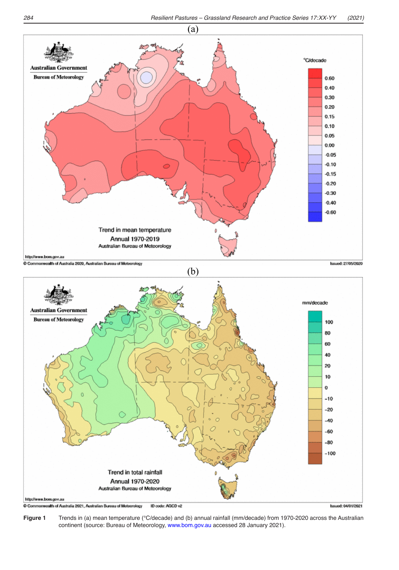

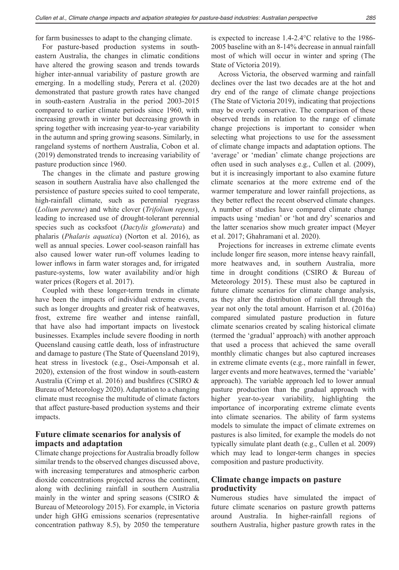for farm businesses to adapt to the changing climate.

For pasture-based production systems in southeastern Australia, the changes in climatic conditions have altered the growing season and trends towards higher inter-annual variability of pasture growth are emerging. In a modelling study, Perera et al. (2020) demonstrated that pasture growth rates have changed in south-eastern Australia in the period 2003-2015 compared to earlier climate periods since 1960, with increasing growth in winter but decreasing growth in spring together with increasing year-to-year variability in the autumn and spring growing seasons. Similarly, in rangeland systems of northern Australia, Cobon et al. (2019) demonstrated trends to increasing variability of pasture production since 1960.

The changes in the climate and pasture growing season in southern Australia have also challenged the persistence of pasture species suited to cool temperate, high-rainfall climate, such as perennial ryegrass (*Lolium perenne*) and white clover (*Trifolium repens*), leading to increased use of drought-tolerant perennial species such as cocksfoot (*Dactylis glomerata*) and phalaris (*Phalaris aquatica*) (Norton et al. 2016), as well as annual species. Lower cool-season rainfall has also caused lower water run-off volumes leading to lower inflows in farm water storages and, for irrigated pasture-systems, low water availability and/or high water prices (Rogers et al. 2017).

Coupled with these longer-term trends in climate have been the impacts of individual extreme events, such as longer droughts and greater risk of heatwaves, frost, extreme fire weather and intense rainfall, that have also had important impacts on livestock businesses. Examples include severe flooding in north Queensland causing cattle death, loss of infrastructure and damage to pasture (The State of Queensland 2019), heat stress in livestock (e.g., Osei-Amponsah et al. 2020), extension of the frost window in south-eastern Australia (Crimp et al. 2016) and bushfires (CSIRO & Bureau of Meteorology 2020). Adaptation to a changing climate must recognise the multitude of climate factors that affect pasture-based production systems and their impacts.

# **Future climate scenarios for analysis of impacts and adaptation**

Climate change projections for Australia broadly follow similar trends to the observed changes discussed above, with increasing temperatures and atmospheric carbon dioxide concentrations projected across the continent, along with declining rainfall in southern Australia mainly in the winter and spring seasons (CSIRO & Bureau of Meteorology 2015). For example, in Victoria under high GHG emissions scenarios (representative concentration pathway 8.5), by 2050 the temperature is expected to increase 1.4-2.4°C relative to the 1986- 2005 baseline with an 8-14% decrease in annual rainfall most of which will occur in winter and spring (The State of Victoria 2019).

Across Victoria, the observed warming and rainfall declines over the last two decades are at the hot and dry end of the range of climate change projections (The State of Victoria 2019), indicating that projections may be overly conservative. The comparison of these observed trends in relation to the range of climate change projections is important to consider when selecting what projections to use for the assessment of climate change impacts and adaptation options. The 'average' or 'median' climate change projections are often used in such analyses e.g., Cullen et al. (2009), but it is increasingly important to also examine future climate scenarios at the more extreme end of the warmer temperature and lower rainfall projections, as they better reflect the recent observed climate changes. A number of studies have compared climate change impacts using 'median' or 'hot and dry' scenarios and the latter scenarios show much greater impact (Meyer et al. 2017; Ghahramani et al. 2020).

Projections for increases in extreme climate events include longer fire season, more intense heavy rainfall, more heatwaves and, in southern Australia, more time in drought conditions (CSIRO & Bureau of Meteorology 2015). These must also be captured in future climate scenarios for climate change analysis, as they alter the distribution of rainfall through the year not only the total amount. Harrison et al. (2016a) compared simulated pasture production in future climate scenarios created by scaling historical climate (termed the 'gradual' approach) with another approach that used a process that achieved the same overall monthly climatic changes but also captured increases in extreme climate events (e.g., more rainfall in fewer, larger events and more heatwaves, termed the 'variable' approach). The variable approach led to lower annual pasture production than the gradual approach with higher year-to-year variability, highlighting the importance of incorporating extreme climate events into climate scenarios. The ability of farm systems models to simulate the impact of climate extremes on pastures is also limited, for example the models do not typically simulate plant death (e.g., Cullen et al. 2009) which may lead to longer-term changes in species composition and pasture productivity.

# **Climate change impacts on pasture productivity**

Numerous studies have simulated the impact of future climate scenarios on pasture growth patterns around Australia. In higher-rainfall regions of southern Australia, higher pasture growth rates in the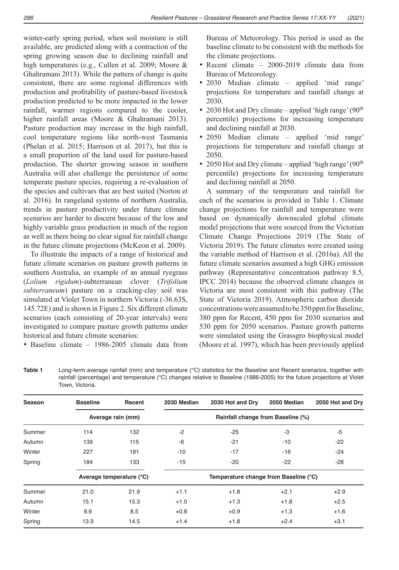winter-early spring period, when soil moisture is still available, are predicted along with a contraction of the spring growing season due to declining rainfall and high temperatures (e.g., Cullen et al. 2009; Moore & Ghahramani 2013). While the pattern of change is quite consistent, there are some regional differences with production and profitability of pasture-based livestock production predicted to be more impacted in the lower rainfall, warmer regions compared to the cooler, higher rainfall areas (Moore & Ghahramani 2013). Pasture production may increase in the high rainfall, cool temperature regions like north-west Tasmania (Phelan et al. 2015; Harrison et al. 2017), but this is a small proportion of the land used for pasture-based production. The shorter growing season in southern Australia will also challenge the persistence of some temperate pasture species, requiring a re-evaluation of the species and cultivars that are best suited (Norton et al. 2016). In rangeland systems of northern Australia, trends in pasture productivity under future climate scenarios are harder to discern because of the low and highly variable grass production in much of the region as well as there being no clear signal for rainfall change in the future climate projections (McKeon et al. 2009).

To illustrate the impacts of a range of historical and future climate scenarios on pasture growth patterns in southern Australia, an example of an annual ryegrass (*Lolium rigidum*)-subterranean clover (*Trifolium subterraneum*) pasture on a cracking-clay soil was simulated at Violet Town in northern Victoria (-36.63S, 145.72E) and is shown in Figure 2. Six different climate scenarios (each consisting of 20-year intervals) were investigated to compare pasture growth patterns under historical and future climate scenarios:

• Baseline climate – 1986-2005 climate data from

Bureau of Meteorology. This period is used as the baseline climate to be consistent with the methods for the climate projections.

- Recent climate 2000-2019 climate data from Bureau of Meteorology.
- 2030 Median climate applied 'mid range' projections for temperature and rainfall change at 2030.
- 2030 Hot and Dry climate applied 'high range' ( $90<sup>th</sup>$ percentile) projections for increasing temperature and declining rainfall at 2030.
- 2050 Median climate applied 'mid range' projections for temperature and rainfall change at 2050.
- 2050 Hot and Dry climate applied 'high range' ( $90<sup>th</sup>$ percentile) projections for increasing temperature and declining rainfall at 2050.

A summary of the temperature and rainfall for each of the scenarios is provided in Table 1. Climate change projections for rainfall and temperature were based on dynamically downscaled global climate model projections that were sourced from the Victorian Climate Change Projections 2019 (The State of Victoria 2019). The future climates were created using the variable method of Harrison et al. (2016a). All the future climate scenarios assumed a high GHG emission pathway (Representative concentration pathway 8.5, IPCC 2014) because the observed climate changes in Victoria are most consistent with this pathway (The State of Victoria 2019). Atmospheric carbon dioxide concentrations were assumed to be 350 ppm for Baseline, 380 ppm for Recent, 450 ppm for 2030 scenarios and 530 ppm for 2050 scenarios. Pasture growth patterns were simulated using the Grassgro biophysical model (Moore et al. 1997), which has been previously applied

**Table 1** Long-term average rainfall (mm) and temperature (°C) statistics for the Baseline and Recent scenarios, together with rainfall (percentage) and temperature (°C) changes relative to Baseline (1986-2005) for the future projections at Violet Town, Victoria.

| Season | <b>Baseline</b>          | Recent            | 2030 Median                           | 2030 Hot and Dry                  | 2050 Median | 2050 Hot and Dry |  |
|--------|--------------------------|-------------------|---------------------------------------|-----------------------------------|-------------|------------------|--|
|        |                          | Average rain (mm) |                                       | Rainfall change from Baseline (%) |             |                  |  |
| Summer | 114                      | 132               | $-2$                                  | $-25$                             | -3          | -5               |  |
| Autumn | 139                      | 115               | -6                                    | $-21$                             | $-10$       | $-22$            |  |
| Winter | 227                      | 181               | $-10$                                 | $-17$                             | $-16$       | $-24$            |  |
| Spring | 184                      | 133               | $-15$                                 | $-20$                             | $-22$       | $-28$            |  |
|        | Average temperature (°C) |                   | Temperature change from Baseline (°C) |                                   |             |                  |  |
| Summer | 21.0                     | 21.9              | $+1.1$                                | $+1.8$                            | $+2.1$      | $+2.9$           |  |
| Autumn | 15.1                     | 15.3              | $+1.0$                                | $+1.3$                            | $+1.8$      | $+2.5$           |  |
| Winter | 8.6                      | 8.5               | $+0.8$                                | $+0.9$                            | $+1.3$      | $+1.6$           |  |
| Spring | 13.9                     | 14.5              | $+1.4$                                | $+1.8$                            | $+2.4$      | $+3.1$           |  |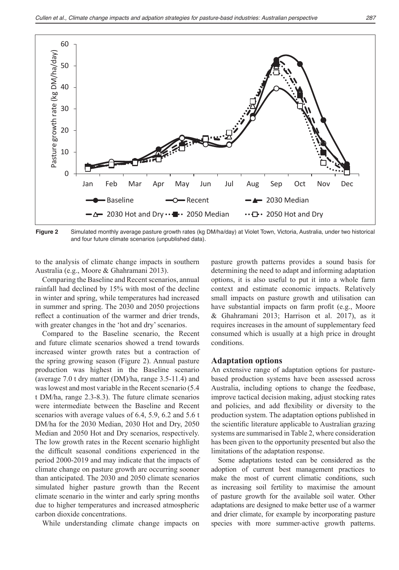

Figure 2 Simulated monthly average pasture growth rates (kg DM/ha/day) at Violet Town, Victoria, Australia, under two historical and four future climate scenarios (unpublished data).

to the analysis of climate change impacts in southern Australia (e.g., Moore & Ghahramani 2013).

Comparing the Baseline and Recent scenarios, annual rainfall had declined by 15% with most of the decline in winter and spring, while temperatures had increased in summer and spring. The 2030 and 2050 projections reflect a continuation of the warmer and drier trends, with greater changes in the 'hot and dry' scenarios.

Compared to the Baseline scenario, the Recent and future climate scenarios showed a trend towards increased winter growth rates but a contraction of the spring growing season (Figure 2). Annual pasture production was highest in the Baseline scenario (average 7.0 t dry matter (DM)/ha, range 3.5-11.4) and was lowest and most variable in the Recent scenario (5.4 t DM/ha, range 2.3-8.3). The future climate scenarios were intermediate between the Baseline and Recent scenarios with average values of 6.4, 5.9, 6.2 and 5.6 t DM/ha for the 2030 Median, 2030 Hot and Dry, 2050 Median and 2050 Hot and Dry scenarios, respectively. The low growth rates in the Recent scenario highlight the difficult seasonal conditions experienced in the period 2000-2019 and may indicate that the impacts of climate change on pasture growth are occurring sooner than anticipated. The 2030 and 2050 climate scenarios simulated higher pasture growth than the Recent climate scenario in the winter and early spring months due to higher temperatures and increased atmospheric carbon dioxide concentrations.

While understanding climate change impacts on

pasture growth patterns provides a sound basis for determining the need to adapt and informing adaptation options, it is also useful to put it into a whole farm context and estimate economic impacts. Relatively small impacts on pasture growth and utilisation can have substantial impacts on farm profit (e.g., Moore & Ghahramani 2013; Harrison et al. 2017), as it requires increases in the amount of supplementary feed consumed which is usually at a high price in drought conditions.

#### **Adaptation options**

An extensive range of adaptation options for pasturebased production systems have been assessed across Australia, including options to change the feedbase, improve tactical decision making, adjust stocking rates and policies, and add flexibility or diversity to the production system. The adaptation options published in the scientific literature applicable to Australian grazing systems are summarised in Table 2, where consideration has been given to the opportunity presented but also the limitations of the adaptation response.

Some adaptations tested can be considered as the adoption of current best management practices to make the most of current climatic conditions, such as increasing soil fertility to maximise the amount of pasture growth for the available soil water. Other adaptations are designed to make better use of a warmer and drier climate, for example by incorporating pasture species with more summer-active growth patterns.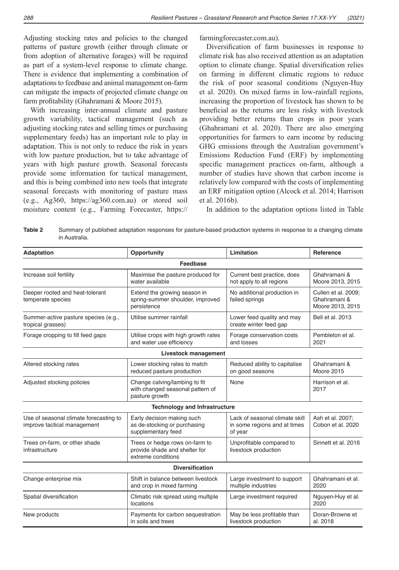Adjusting stocking rates and policies to the changed patterns of pasture growth (either through climate or from adoption of alternative forages) will be required as part of a system-level response to climate change. There is evidence that implementing a combination of adaptations to feedbase and animal management on-farm can mitigate the impacts of projected climate change on farm profitability (Ghahramani & Moore 2015).

With increasing inter-annual climate and pasture growth variability, tactical management (such as adjusting stocking rates and selling times or purchasing supplementary feeds) has an important role to play in adaptation. This is not only to reduce the risk in years with low pasture production, but to take advantage of years with high pasture growth. Seasonal forecasts provide some information for tactical management, and this is being combined into new tools that integrate seasonal forecasts with monitoring of pasture mass (e.g., Ag360, <https://ag360.com.au>) or stored soil moisture content (e.g., Farming Forecaster, [https://](https://farmingforecaster.com.au) [farmingforecaster.com.au\)](https://farmingforecaster.com.au).

Diversification of farm businesses in response to climate risk has also received attention as an adaptation option to climate change. Spatial diversification relies on farming in different climatic regions to reduce the risk of poor seasonal conditions (Nguyen-Huy et al. 2020). On mixed farms in low-rainfall regions, increasing the proportion of livestock has shown to be beneficial as the returns are less risky with livestock providing better returns than crops in poor years (Ghahramani et al. 2020). There are also emerging opportunities for farmers to earn income by reducing GHG emissions through the Australian government's Emissions Reduction Fund (ERF) by implementing specific management practices on-farm, although a number of studies have shown that carbon income is relatively low compared with the costs of implementing an ERF mitigation option (Alcock et al. 2014; Harrison et al. 2016b).

In addition to the adaptation options listed in Table

**Table 2** Summary of published adaptation responses for pasture-based production systems in response to a changing climate in Australia.

| Adaptation                                                            | Opportunity                                                                           | Limitation                                                                | Reference                                               |  |  |  |  |
|-----------------------------------------------------------------------|---------------------------------------------------------------------------------------|---------------------------------------------------------------------------|---------------------------------------------------------|--|--|--|--|
|                                                                       | Feedbase                                                                              |                                                                           |                                                         |  |  |  |  |
| Increase soil fertility                                               | Maximise the pasture produced for<br>water available                                  | Current best practice, does<br>not apply to all regions                   | Ghahramani &<br>Moore 2013, 2015                        |  |  |  |  |
| Deeper rooted and heat-tolerant<br>temperate species                  | Extend the growing season in<br>spring-summer shoulder, improved<br>persistence       | No additional production in<br>failed springs                             | Cullen et al. 2009;<br>Ghahramani &<br>Moore 2013, 2015 |  |  |  |  |
| Summer-active pasture species (e.g.,<br>tropical grasses)             | Utilise summer rainfall                                                               | Lower feed quality and may<br>create winter feed gap                      | Bell et al. 2013                                        |  |  |  |  |
| Forage cropping to fill feed gaps                                     | Utilise crops with high growth rates<br>and water use efficiency                      | Forage conservation costs<br>and losses                                   | Pembleton et al.<br>2021                                |  |  |  |  |
| Livestock management                                                  |                                                                                       |                                                                           |                                                         |  |  |  |  |
| Altered stocking rates                                                | Lower stocking rates to match<br>reduced pasture production                           | Reduced ability to capitalise<br>on good seasons                          | Ghahramani &<br>Moore 2015                              |  |  |  |  |
| Adjusted stocking policies                                            | Change calving/lambing to fit<br>with changed seasonal pattern of<br>pasture growth   | <b>None</b>                                                               | Harrison et al.<br>2017                                 |  |  |  |  |
|                                                                       | <b>Technology and Infrastructure</b>                                                  |                                                                           |                                                         |  |  |  |  |
| Use of seasonal climate forecasting to<br>improve tactical management | Early decision making such<br>as de-stocking or purchasing<br>supplementary feed      | Lack of seasonal climate skill<br>in some regions and at times<br>of year | Ash et al. 2007;<br>Cobon et al. 2020                   |  |  |  |  |
| Trees on-farm, or other shade<br>infrastructure                       | Trees or hedge rows on-farm to<br>provide shade and shelter for<br>extreme conditions | Unprofitable compared to<br>livestock production                          | Sinnett et al. 2016                                     |  |  |  |  |
| <b>Diversification</b>                                                |                                                                                       |                                                                           |                                                         |  |  |  |  |
| Change enterprise mix                                                 | Shift in balance between livestock<br>and crop in mixed farming                       | Large investment to support<br>multiple industries                        | Ghahramani et al.<br>2020                               |  |  |  |  |
| Spatial diversification                                               | Climatic risk spread using multiple<br>locations                                      | Large investment required                                                 | Nguyen-Huy et al.<br>2020                               |  |  |  |  |
| New products                                                          | Payments for carbon sequestration<br>in soils and trees                               | May be less profitable than<br>livestock production                       | Doran-Browne et<br>al. 2018                             |  |  |  |  |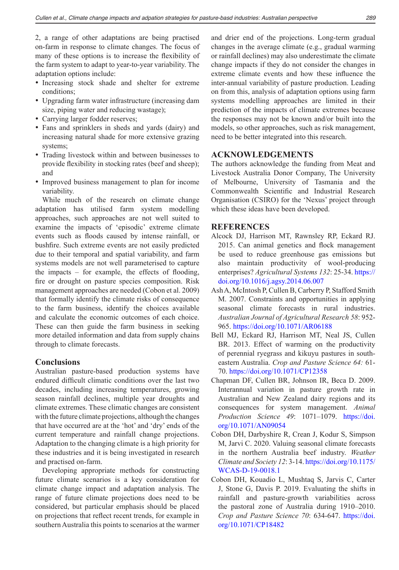2, a range of other adaptations are being practised on-farm in response to climate changes. The focus of many of these options is to increase the flexibility of the farm system to adapt to year-to-year variability. The adaptation options include:

- Increasing stock shade and shelter for extreme conditions;
- Upgrading farm water infrastructure (increasing dam size, piping water and reducing wastage);
- Carrying larger fodder reserves;
- Fans and sprinklers in sheds and yards (dairy) and increasing natural shade for more extensive grazing systems;
- Trading livestock within and between businesses to provide flexibility in stocking rates (beef and sheep); and
- Improved business management to plan for income variability.

While much of the research on climate change adaptation has utilised farm system modelling approaches, such approaches are not well suited to examine the impacts of 'episodic' extreme climate events such as floods caused by intense rainfall, or bushfire. Such extreme events are not easily predicted due to their temporal and spatial variability, and farm systems models are not well parameterised to capture the impacts – for example, the effects of flooding, fire or drought on pasture species composition. Risk management approaches are needed (Cobon et al. 2009) that formally identify the climate risks of consequence to the farm business, identify the choices available and calculate the economic outcomes of each choice. These can then guide the farm business in seeking more detailed information and data from supply chains through to climate forecasts.

#### **Conclusions**

Australian pasture-based production systems have endured difficult climatic conditions over the last two decades, including increasing temperatures, growing season rainfall declines, multiple year droughts and climate extremes. These climatic changes are consistent with the future climate projections, although the changes that have occurred are at the 'hot' and 'dry' ends of the current temperature and rainfall change projections. Adaptation to the changing climate is a high priority for these industries and it is being investigated in research and practised on-farm.

Developing appropriate methods for constructing future climate scenarios is a key consideration for climate change impact and adaptation analysis. The range of future climate projections does need to be considered, but particular emphasis should be placed on projections that reflect recent trends, for example in southern Australia this points to scenarios at the warmer and drier end of the projections. Long-term gradual changes in the average climate (e.g., gradual warming or rainfall declines) may also underestimate the climate change impacts if they do not consider the changes in extreme climate events and how these influence the inter-annual variability of pasture production. Leading on from this, analysis of adaptation options using farm systems modelling approaches are limited in their prediction of the impacts of climate extremes because the responses may not be known and/or built into the models, so other approaches, such as risk management, need to be better integrated into this research.

#### **ACKNOWLEDGEMENTS**

The authors acknowledge the funding from Meat and Livestock Australia Donor Company, The University of Melbourne, University of Tasmania and the Commonwealth Scientific and Industrial Research Organisation (CSIRO) for the 'Nexus' project through which these ideas have been developed.

# **REFERENCES**

- Alcock DJ, Harrison MT, Rawnsley RP, Eckard RJ. 2015. Can animal genetics and flock management be used to reduce greenhouse gas emissions but also maintain productivity of wool-producing enterprises? *Agricultural Systems 132*: 25-34. [https://](https://doi.org/10.1016/j.agsy.2014.06.007) [doi.org/10.1016/j.agsy.2014.06.007](https://doi.org/10.1016/j.agsy.2014.06.007)
- Ash A, McIntosh P, Cullen B, Carberry P, Stafford Smith M. 2007. Constraints and opportunities in applying seasonal climate forecasts in rural industries. *Australian Journal of Agricultural Research 58*: 952- 965. <https://doi.org/10.1071/AR06188>
- Bell MJ, Eckard RJ, Harrison MT, Neal JS, Cullen BR. 2013. Effect of warming on the productivity of perennial ryegrass and kikuyu pastures in southeastern Australia. *Crop and Pasture Science 64:* 61- 70. <https://doi.org/10.1071/CP12358>
- Chapman DF, Cullen BR, Johnson IR, Beca D. 2009. Interannual variation in pasture growth rate in Australian and New Zealand dairy regions and its consequences for system management. *Animal Production Science 49*: 1071–1079. [https://doi.](https://doi.org/10.1071/AN09054) [org/10.1071/AN09054](https://doi.org/10.1071/AN09054)
- Cobon DH, Darbyshire R, Crean J, Kodur S, Simpson M, Jarvi C. 2020. Valuing seasonal climate forecasts in the northern Australia beef industry. *Weather Climate and Society 12*: 3-14. [https://doi.org/10.1175/](https://doi.org/10.1175/WCAS-D-19-0018.1) [WCAS-D-19-0018.1](https://doi.org/10.1175/WCAS-D-19-0018.1)
- Cobon DH, Kouadio L, Mushtaq S, Jarvis C, Carter J, Stone G, Davis P. 2019. Evaluating the shifts in rainfall and pasture-growth variabilities across the pastoral zone of Australia during 1910–2010. *Crop and Pasture Science 70*: 634-647. [https://doi.](https://doi.org/10.1071/CP18482) [org/10.1071/CP18482](https://doi.org/10.1071/CP18482)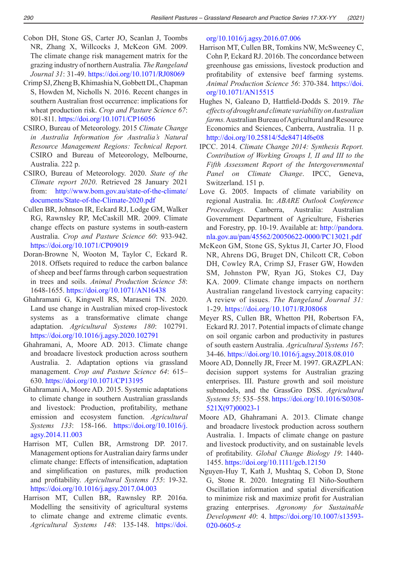- Cobon DH, Stone GS, Carter JO, Scanlan J, Toombs NR, Zhang X, Willcocks J, McKeon GM. 2009. The climate change risk management matrix for the grazing industry of northern Australia*. The Rangeland Journal 31*: 31-49. <https://doi.org/10.1071/RJ08069>
- Crimp SJ, Zheng B, Khimashia N, Gobbett DL, Chapman S, Howden M, Nicholls N. 2016. Recent changes in southern Australian frost occurrence: implications for wheat production risk. *Crop and Pasture Science 67*: 801-811. <https://doi.org/10.1071/CP16056>
- CSIRO, Bureau of Meteorology. 2015 *Climate Change in Australia Information for Australia's Natural Resource Management Regions: Technical Report.* CSIRO and Bureau of Meteorology, Melbourne, Australia. 222 p.
- CSIRO, Bureau of Meteorology. 2020. *State of the Climate report 2020*. Retrieved 28 January 2021 from: [http://www.bom.gov.au/state-of-the-climate/](http://www.bom.gov.au/state-of-the-climate/documents/State-of-the-Climate-2020.pdf) [documents/State-of-the-Climate-2020.pdf](http://www.bom.gov.au/state-of-the-climate/documents/State-of-the-Climate-2020.pdf)
- Cullen BR, Johnson IR, Eckard RJ, Lodge GM, Walker RG, Rawnsley RP, McCaskill MR. 2009. Climate change effects on pasture systems in south-eastern Australia. *Crop and Pasture Science 60*: 933-942. <https://doi.org/10.1071/CP09019>
- Doran-Browne N, Wooton M, Taylor C, Eckard R. 2018. Offsets required to reduce the carbon balance of sheep and beef farms through carbon sequestration in trees and soils. *Animal Production Science 58*: 1648-1655. <https://doi.org/10.1071/AN16438>
- Ghahramani G, Kingwell RS, Maraseni TN. 2020. Land use change in Australian mixed crop-livestock systems as a transformative climate change adaptation. *Agricultural Systems 180*: 102791. <https://doi.org/10.1016/j.agsy.2020.102791>
- Ghahramani, A, Moore AD. 2013. Climate change and broadacre livestock production across southern Australia. 2. Adaptation options via grassland management. *Crop and Pasture Science 64*: 615– 630. <https://doi.org/10.1071/CP13195>
- Ghahramani A, Moore AD. 2015. Systemic adaptations to climate change in southern Australian grasslands and livestock: Production, profitability, methane emission and ecosystem function. *Agricultural Systems 133*: 158-166. [https://doi.org/10.1016/j.](https://doi.org/10.1016/j.agsy.2014.11.003) [agsy.2014.11.003](https://doi.org/10.1016/j.agsy.2014.11.003)
- Harrison MT, Cullen BR, Armstrong DP. 2017. Management options for Australian dairy farms under climate change: Effects of intensification, adaptation and simplification on pastures, milk production and profitability. *Agricultural Systems 155*: 19-32. <https://doi.org/10.1016/j.agsy.2017.04.003>
- Harrison MT, Cullen BR, Rawnsley RP. 2016a. Modelling the sensitivity of agricultural systems to climate change and extreme climatic events. *Agricultural Systems 148*: 135-148. [https://doi.](https://doi.org/10.1016/j.agsy.2016.07.006)

[org/10.1016/j.agsy.2016.07.006](https://doi.org/10.1016/j.agsy.2016.07.006)

- Harrison MT, Cullen BR, Tomkins NW, McSweeney C, Cohn P, Eckard RJ. 2016b. The concordance between greenhouse gas emissions, livestock production and profitability of extensive beef farming systems. *Animal Production Science 56*: 370-384. [https://doi.](https://doi.org/10.1071/AN15515) [org/10.1071/AN15515](https://doi.org/10.1071/AN15515)
- Hughes N, Galeano D, Hattfield-Dodds S. 2019. *The effects of drought and climate variability on Australian farms.* Australian Bureau of Agricultural and Resource Economics and Sciences, Canberra, Australia. 11 p. <http://doi.org/10.25814/5de84714f6e08>
- IPCC. 2014. *Climate Change 2014: Synthesis Report. Contribution of Working Groups I, II and III to the Fifth Assessment Report of the Intergovernmental Panel on Climate Change*. IPCC, Geneva, Switzerland. 151 p.
- Love G. 2005. Impacts of climate variability on regional Australia. In: *ABARE Outlook Conference Proceedings*. Canberra, Australia: Australian Government Department of Agriculture, Fisheries and Forestry, pp. 10-19. Available at: [http://pandora.](http://pandora.nla.gov.au/pan/45562/20050622-0000/PC13021.pdf) [nla.gov.au/pan/45562/20050622-0000/PC13021.pdf](http://pandora.nla.gov.au/pan/45562/20050622-0000/PC13021.pdf)
- McKeon GM, Stone GS, Syktus JI, Carter JO, Flood NR, Ahrens DG, Bruget DN, Chilcott CR, Cobon DH, Cowley RA, Crimp SJ, Fraser GW, Howden SM, Johnston PW, Ryan JG, Stokes CJ, Day KA. 2009. Climate change impacts on northern Australian rangeland livestock carrying capacity: A review of issues. *The Rangeland Journal 31:*  1-29. <https://doi.org/10.1071/RJ08068>
- Meyer RS, Cullen BR, Whetton PH, Robertson FA, Eckard RJ. 2017. Potential impacts of climate change on soil organic carbon and productivity in pastures of south eastern Australia. *Agricultural Systems 167*: 34-46. <https://doi.org/10.1016/j.agsy.2018.08.010>
- Moore AD, Donnelly JR, Freer M. 1997. GRAZPLAN: decision support systems for Australian grazing enterprises. III. Pasture growth and soil moisture submodels, and the GrassGro DSS. *Agricultural Systems 55*: 535–558. [https://doi.org/10.1016/S0308-](https://doi.org/10.1016/S0308-521X(97)00023-1) [521X\(97\)00023-1](https://doi.org/10.1016/S0308-521X(97)00023-1)
- Moore AD, Ghahramani A. 2013. Climate change and broadacre livestock production across southern Australia. 1. Impacts of climate change on pasture and livestock productivity, and on sustainable levels of profitability. *Global Change Biology 19*: 1440- 1455. <https://doi.org/10.1111/gcb.12150>
- Nguyen-Huy T, Kath J, Mushtaq S, Cobon D, Stone G, Stone R. 2020. Integrating El Niño-Southern Oscillation information and spatial diversification to minimize risk and maximize profit for Australian grazing enterprises. *Agronomy for Sustainable Development 40*: 4. [https://doi.org/10.1007/s13593-](https://doi.org/10.1007/s13593-020-0605-z) [020-0605-z](https://doi.org/10.1007/s13593-020-0605-z)